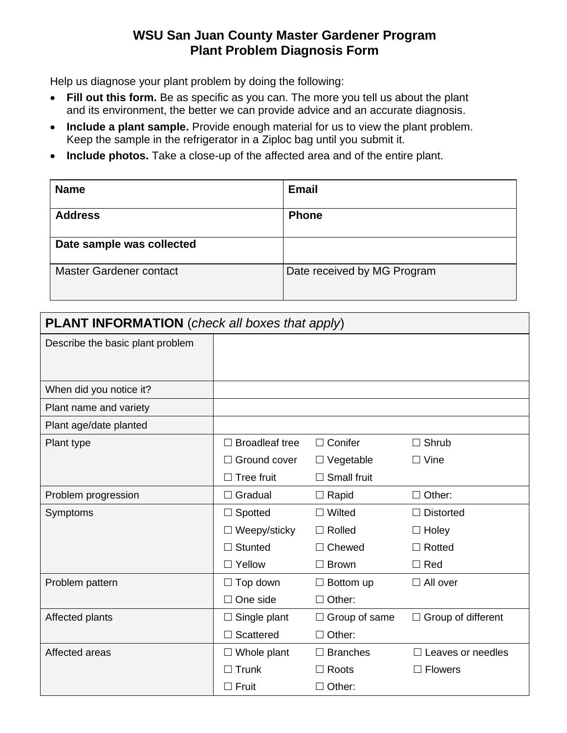## **WSU San Juan County Master Gardener Program Plant Problem Diagnosis Form**

Help us diagnose your plant problem by doing the following:

- **Fill out this form.** Be as specific as you can. The more you tell us about the plant and its environment, the better we can provide advice and an accurate diagnosis.
- **Include a plant sample.** Provide enough material for us to view the plant problem. Keep the sample in the refrigerator in a Ziploc bag until you submit it.
- **Include photos.** Take a close-up of the affected area and of the entire plant.

| <b>Name</b>                    | <b>Email</b>                |
|--------------------------------|-----------------------------|
| <b>Address</b>                 | <b>Phone</b>                |
| Date sample was collected      |                             |
| <b>Master Gardener contact</b> | Date received by MG Program |

| <b>PLANT INFORMATION</b> (check all boxes that apply) |                       |                                                   |                  |  |
|-------------------------------------------------------|-----------------------|---------------------------------------------------|------------------|--|
| Describe the basic plant problem                      |                       |                                                   |                  |  |
|                                                       |                       |                                                   |                  |  |
|                                                       |                       |                                                   |                  |  |
| When did you notice it?                               |                       |                                                   |                  |  |
| Plant name and variety                                |                       |                                                   |                  |  |
| Plant age/date planted                                |                       |                                                   |                  |  |
| Plant type                                            | <b>Broadleaf tree</b> | $\Box$ Conifer                                    | $\Box$ Shrub     |  |
|                                                       | Ground cover          | $\Box$ Vegetable                                  | ∣ Vine           |  |
|                                                       | Tree fruit            | Small fruit                                       |                  |  |
| Problem progression                                   | $\Box$ Gradual        | $\Box$ Rapid                                      | $\Box$ Other:    |  |
| Symptoms                                              | Spotted               | $\Box$ Wilted                                     | $\Box$ Distorted |  |
|                                                       | $\Box$ Weepy/sticky   | $\Box$ Rolled                                     | $\Box$ Holey     |  |
|                                                       | <b>Stunted</b>        | $\Box$ Chewed                                     | $\Box$ Rotted    |  |
|                                                       | $\Box$ Yellow         | $\Box$ Brown                                      | $\Box$ Red       |  |
| Problem pattern                                       | Top down              | $\Box$ All over<br>$\Box$ Bottom up               |                  |  |
|                                                       | One side              | $\Box$ Other:                                     |                  |  |
| Affected plants                                       | Single plant          | $\Box$ Group of different<br>$\Box$ Group of same |                  |  |
|                                                       | Scattered             | $\Box$ Other:                                     |                  |  |
| Affected areas                                        | $\Box$ Whole plant    | $\Box$ Branches<br>Leaves or needles              |                  |  |
|                                                       | Trunk                 | $\Box$ Roots                                      | <b>Flowers</b>   |  |
|                                                       | $\Box$ Fruit          | $\Box$ Other:                                     |                  |  |